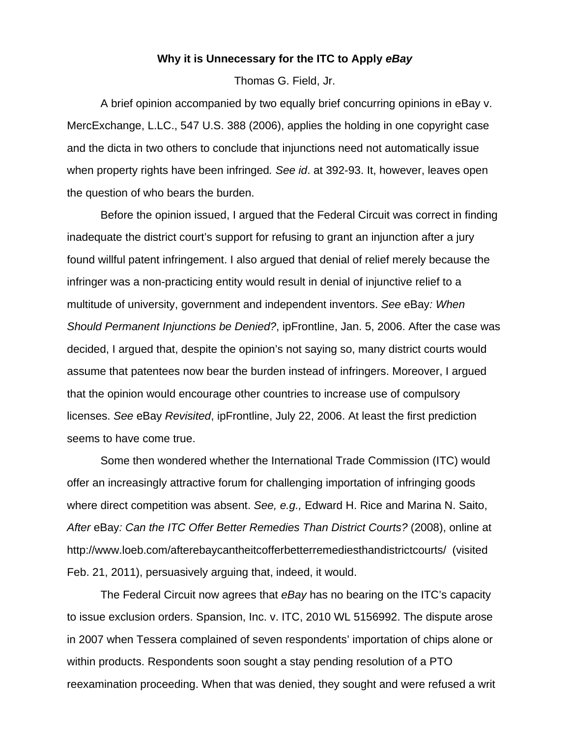## **Why it is Unnecessary for the ITC to Apply** *eBay*

Thomas G. Field, Jr.

 A brief opinion accompanied by two equally brief concurring opinions in eBay v. MercExchange, L.LC., 547 U.S. 388 (2006), applies the holding in one copyright case and the dicta in two others to conclude that injunctions need not automatically issue when property rights have been infringed*. See id*. at 392-93. It, however, leaves open the question of who bears the burden.

 Before the opinion issued, I argued that the Federal Circuit was correct in finding inadequate the district court's support for refusing to grant an injunction after a jury found willful patent infringement. I also argued that denial of relief merely because the infringer was a non-practicing entity would result in denial of injunctive relief to a multitude of university, government and independent inventors. *See* eBay*: When Should Permanent Injunctions be Denied?*, ipFrontline, Jan. 5, 2006. After the case was decided, I argued that, despite the opinion's not saying so, many district courts would assume that patentees now bear the burden instead of infringers. Moreover, I argued that the opinion would encourage other countries to increase use of compulsory licenses. *See* eBay *Revisited*, ipFrontline, July 22, 2006. At least the first prediction seems to have come true.

 Some then wondered whether the International Trade Commission (ITC) would offer an increasingly attractive forum for challenging importation of infringing goods where direct competition was absent. *See, e.g.,* Edward H. Rice and Marina N. Saito, *After* eBay*: Can the ITC Offer Better Remedies Than District Courts?* (2008), online at http://www.loeb.com/afterebaycantheitcofferbetterremediesthandistrictcourts/ (visited Feb. 21, 2011), persuasively arguing that, indeed, it would.

 The Federal Circuit now agrees that *eBay* has no bearing on the ITC's capacity to issue exclusion orders. Spansion, Inc. v. ITC, 2010 WL 5156992. The dispute arose in 2007 when Tessera complained of seven respondents' importation of chips alone or within products. Respondents soon sought a stay pending resolution of a PTO reexamination proceeding. When that was denied, they sought and were refused a writ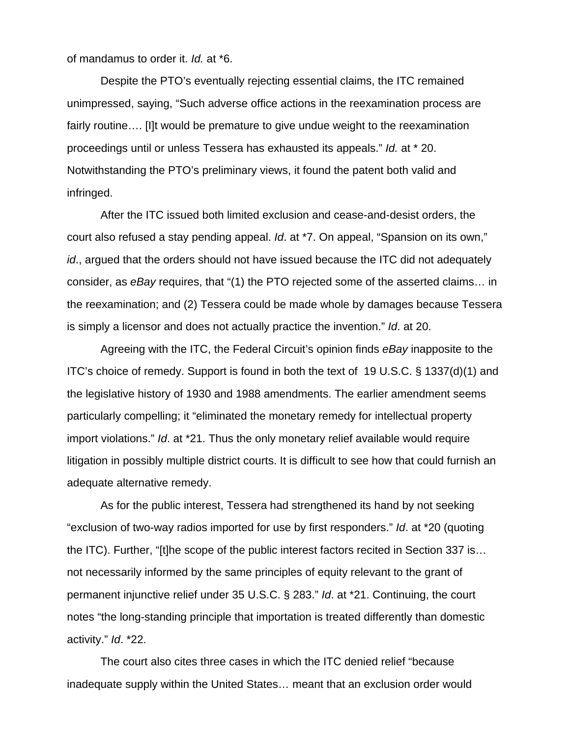of mandamus to order it. *Id.* at \*6.

 Despite the PTO's eventually rejecting essential claims, the ITC remained unimpressed, saying, "Such adverse office actions in the reexamination process are fairly routine…. [I]t would be premature to give undue weight to the reexamination proceedings until or unless Tessera has exhausted its appeals." *Id.* at \* 20. Notwithstanding the PTO's preliminary views, it found the patent both valid and infringed.

 After the ITC issued both limited exclusion and cease-and-desist orders, the court also refused a stay pending appeal. *Id*. at \*7. On appeal, "Spansion on its own," *id*., argued that the orders should not have issued because the ITC did not adequately consider, as *eBay* requires, that "(1) the PTO rejected some of the asserted claims… in the reexamination; and (2) Tessera could be made whole by damages because Tessera is simply a licensor and does not actually practice the invention." *Id*. at 20.

 Agreeing with the ITC, the Federal Circuit's opinion finds *eBay* inapposite to the ITC's choice of remedy. Support is found in both the text of 19 U.S.C. § 1337(d)(1) and the legislative history of 1930 and 1988 amendments. The earlier amendment seems particularly compelling; it "eliminated the monetary remedy for intellectual property import violations." *Id*. at \*21. Thus the only monetary relief available would require litigation in possibly multiple district courts. It is difficult to see how that could furnish an adequate alternative remedy.

 As for the public interest, Tessera had strengthened its hand by not seeking "exclusion of two-way radios imported for use by first responders." *Id*. at \*20 (quoting the ITC). Further, "[t]he scope of the public interest factors recited in Section 337 is… not necessarily informed by the same principles of equity relevant to the grant of permanent injunctive relief under 35 U.S.C. § 283." *Id*. at \*21. Continuing, the court notes "the long-standing principle that importation is treated differently than domestic activity." *Id*. \*22.

 The court also cites three cases in which the ITC denied relief "because inadequate supply within the United States… meant that an exclusion order would